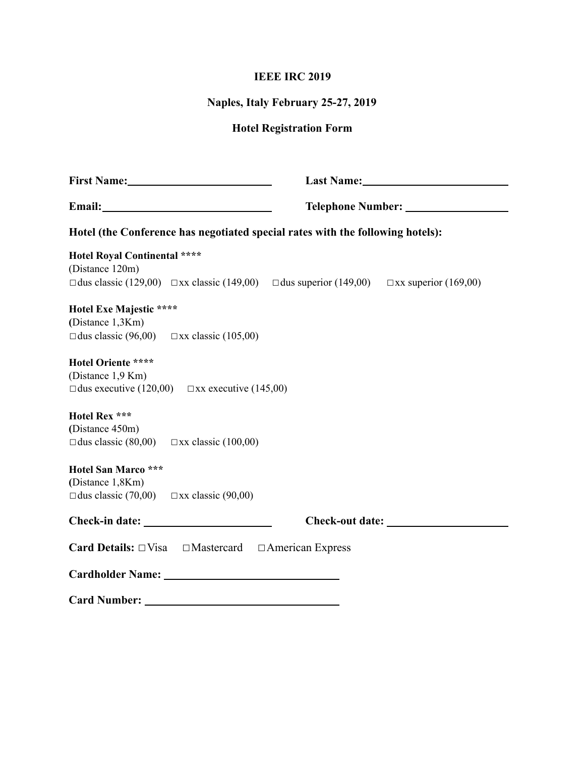## **IEEE IRC 2019**

## **Naples, Italy February 25-27, 2019**

## **Hotel Registration Form**

|                                                                                                              | Last Name: 1988 Manual Manual Manual Manual Manual Manual Manual Manual Manual Manual Manual Manual Manual Manual Manual Manual Manual Manual Manual Manual Manual Manual Manual Manual Manual Manual Manual Manual Manual Man |
|--------------------------------------------------------------------------------------------------------------|--------------------------------------------------------------------------------------------------------------------------------------------------------------------------------------------------------------------------------|
|                                                                                                              |                                                                                                                                                                                                                                |
| Hotel (the Conference has negotiated special rates with the following hotels):                               |                                                                                                                                                                                                                                |
| <b>Hotel Royal Continental ****</b><br>(Distance 120m)                                                       |                                                                                                                                                                                                                                |
|                                                                                                              | □ dus classic (129,00) □ xx classic (149,00) □ dus superior (149,00) □ xx superior (169,00)                                                                                                                                    |
| Hotel Exe Majestic ****<br>(Distance 1,3Km)<br>$\Box$ dus classic (96,00) $\Box$ xx classic (105,00)         |                                                                                                                                                                                                                                |
| <b>Hotel Oriente ****</b><br>(Distance 1,9 Km)<br>$\Box$ dus executive (120,00) $\Box$ xx executive (145,00) |                                                                                                                                                                                                                                |
| Hotel Rex ***<br>(Distance 450m)<br>$\Box$ dus classic (80,00) $\Box$ xx classic (100,00)                    |                                                                                                                                                                                                                                |
| <b>Hotel San Marco ***</b><br>(Distance 1,8Km)<br>$\Box$ dus classic (70,00) $\Box$ xx classic (90,00)       |                                                                                                                                                                                                                                |
|                                                                                                              | Check-out date: ____________                                                                                                                                                                                                   |
| <b>Card Details:</b> $\Box$ Visa $\Box$ Mastercard $\Box$ American Express                                   |                                                                                                                                                                                                                                |
|                                                                                                              |                                                                                                                                                                                                                                |
|                                                                                                              |                                                                                                                                                                                                                                |